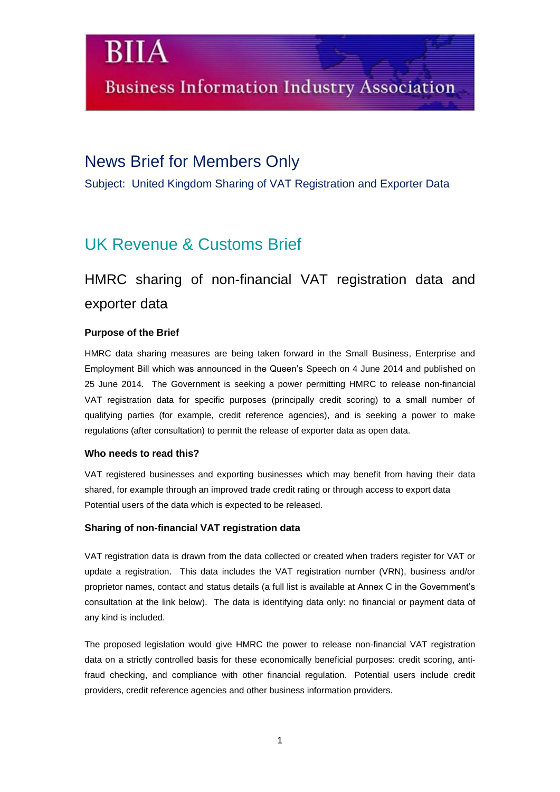### News Brief for Members Only

Subject: United Kingdom Sharing of VAT Registration and Exporter Data

## UK Revenue & Customs Brief

## HMRC sharing of non-financial VAT registration data and exporter data

#### **Purpose of the Brief**

BIIA

HMRC data sharing measures are being taken forward in the Small Business, Enterprise and Employment Bill which was announced in the Queen's Speech on 4 June 2014 and published on 25 June 2014. The Government is seeking a power permitting HMRC to release non-financial VAT registration data for specific purposes (principally credit scoring) to a small number of qualifying parties (for example, credit reference agencies), and is seeking a power to make regulations (after consultation) to permit the release of exporter data as open data.

#### **Who needs to read this?**

VAT registered businesses and exporting businesses which may benefit from having their data shared, for example through an improved trade credit rating or through access to export data Potential users of the data which is expected to be released.

#### **Sharing of non-financial VAT registration data**

VAT registration data is drawn from the data collected or created when traders register for VAT or update a registration. This data includes the VAT registration number (VRN), business and/or proprietor names, contact and status details (a full list is available at Annex C in the Government's consultation at the link below). The data is identifying data only: no financial or payment data of any kind is included.

The proposed legislation would give HMRC the power to release non-financial VAT registration data on a strictly controlled basis for these economically beneficial purposes: credit scoring, antifraud checking, and compliance with other financial regulation. Potential users include credit providers, credit reference agencies and other business information providers.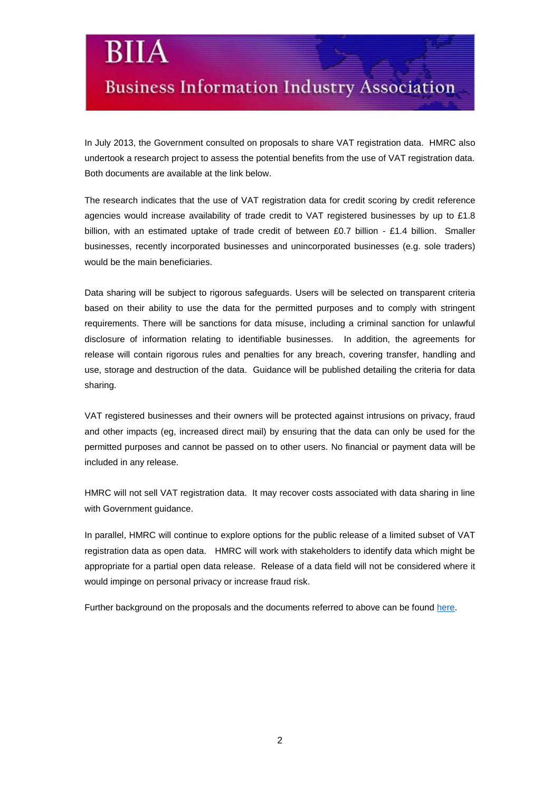# **Business Information Industry Association**

Bl

In July 2013, the Government consulted on proposals to share VAT registration data. HMRC also undertook a research project to assess the potential benefits from the use of VAT registration data. Both documents are available at the link below.

The research indicates that the use of VAT registration data for credit scoring by credit reference agencies would increase availability of trade credit to VAT registered businesses by up to £1.8 billion, with an estimated uptake of trade credit of between £0.7 billion - £1.4 billion. Smaller businesses, recently incorporated businesses and unincorporated businesses (e.g. sole traders) would be the main beneficiaries.

Data sharing will be subject to rigorous safeguards. Users will be selected on transparent criteria based on their ability to use the data for the permitted purposes and to comply with stringent requirements. There will be sanctions for data misuse, including a criminal sanction for unlawful disclosure of information relating to identifiable businesses. In addition, the agreements for release will contain rigorous rules and penalties for any breach, covering transfer, handling and use, storage and destruction of the data. Guidance will be published detailing the criteria for data sharing.

VAT registered businesses and their owners will be protected against intrusions on privacy, fraud and other impacts (eg, increased direct mail) by ensuring that the data can only be used for the permitted purposes and cannot be passed on to other users. No financial or payment data will be included in any release.

HMRC will not sell VAT registration data. It may recover costs associated with data sharing in line with Government guidance.

In parallel, HMRC will continue to explore options for the public release of a limited subset of VAT registration data as open data. HMRC will work with stakeholders to identify data which might be appropriate for a partial open data release. Release of a data field will not be considered where it would impinge on personal privacy or increase fraud risk.

Further background on the proposals and the documents referred to above can be found [here.](https://www.gov.uk/government/consultations/sharing-and-publishing-data-for-public-benefit)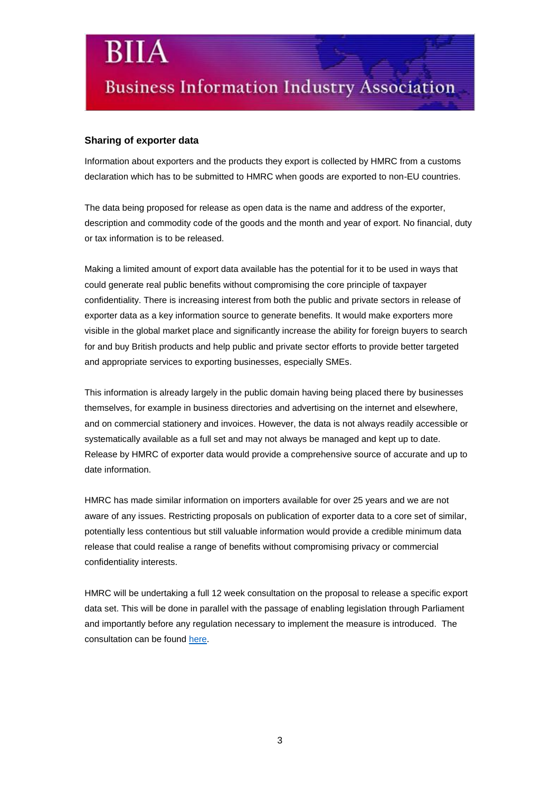# **Business Information Industry Association**

#### **Sharing of exporter data**

Information about exporters and the products they export is collected by HMRC from a customs declaration which has to be submitted to HMRC when goods are exported to non-EU countries.

The data being proposed for release as open data is the name and address of the exporter, description and commodity code of the goods and the month and year of export. No financial, duty or tax information is to be released.

Making a limited amount of export data available has the potential for it to be used in ways that could generate real public benefits without compromising the core principle of taxpayer confidentiality. There is increasing interest from both the public and private sectors in release of exporter data as a key information source to generate benefits. It would make exporters more visible in the global market place and significantly increase the ability for foreign buyers to search for and buy British products and help public and private sector efforts to provide better targeted and appropriate services to exporting businesses, especially SMEs.

This information is already largely in the public domain having being placed there by businesses themselves, for example in business directories and advertising on the internet and elsewhere, and on commercial stationery and invoices. However, the data is not always readily accessible or systematically available as a full set and may not always be managed and kept up to date. Release by HMRC of exporter data would provide a comprehensive source of accurate and up to date information.

HMRC has made similar information on importers available for over 25 years and we are not aware of any issues. Restricting proposals on publication of exporter data to a core set of similar, potentially less contentious but still valuable information would provide a credible minimum data release that could realise a range of benefits without compromising privacy or commercial confidentiality interests.

HMRC will be undertaking a full 12 week consultation on the proposal to release a specific export data set. This will be done in parallel with the passage of enabling legislation through Parliament and importantly before any regulation necessary to implement the measure is introduced. The consultation can be found [here.](https://www.gov.uk/government/consultations/sharing-and-publishing-export-data-for-public-benefit)